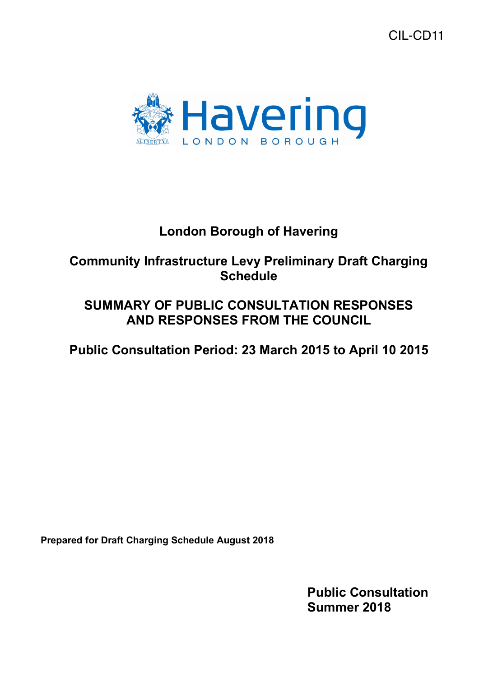CIL-CD11



## **London Borough of Havering**

## **Community Infrastructure Levy Preliminary Draft Charging Schedule**

## **SUMMARY OF PUBLIC CONSULTATION RESPONSES AND RESPONSES FROM THE COUNCIL**

## **Public Consultation Period: 23 March 2015 to April 10 2015**

 **Prepared for Draft Charging Schedule August 2018** 

**Public Consultation Summer 2018**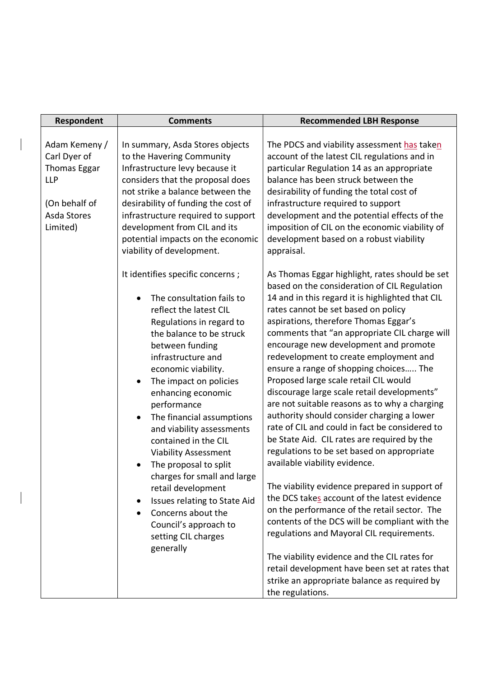| Respondent                                                                                              | <b>Comments</b>                                                                                                                                                                                                                                                                                                                                                                                                                                                                                                                                                                                               | <b>Recommended LBH Response</b>                                                                                                                                                                                                                                                                                                                                                                                                                                                                                                                                                                                                                                                                                                                                                                                                                                                                                                                                                                                                                                                                                                                                                                               |
|---------------------------------------------------------------------------------------------------------|---------------------------------------------------------------------------------------------------------------------------------------------------------------------------------------------------------------------------------------------------------------------------------------------------------------------------------------------------------------------------------------------------------------------------------------------------------------------------------------------------------------------------------------------------------------------------------------------------------------|---------------------------------------------------------------------------------------------------------------------------------------------------------------------------------------------------------------------------------------------------------------------------------------------------------------------------------------------------------------------------------------------------------------------------------------------------------------------------------------------------------------------------------------------------------------------------------------------------------------------------------------------------------------------------------------------------------------------------------------------------------------------------------------------------------------------------------------------------------------------------------------------------------------------------------------------------------------------------------------------------------------------------------------------------------------------------------------------------------------------------------------------------------------------------------------------------------------|
| Adam Kemeny /<br>Carl Dyer of<br>Thomas Eggar<br><b>LLP</b><br>(On behalf of<br>Asda Stores<br>Limited) | In summary, Asda Stores objects<br>to the Havering Community<br>Infrastructure levy because it<br>considers that the proposal does<br>not strike a balance between the<br>desirability of funding the cost of<br>infrastructure required to support<br>development from CIL and its<br>potential impacts on the economic<br>viability of development.                                                                                                                                                                                                                                                         | The PDCS and viability assessment has taken<br>account of the latest CIL regulations and in<br>particular Regulation 14 as an appropriate<br>balance has been struck between the<br>desirability of funding the total cost of<br>infrastructure required to support<br>development and the potential effects of the<br>imposition of CIL on the economic viability of<br>development based on a robust viability<br>appraisal.                                                                                                                                                                                                                                                                                                                                                                                                                                                                                                                                                                                                                                                                                                                                                                                |
|                                                                                                         | It identifies specific concerns;<br>The consultation fails to<br>reflect the latest CIL<br>Regulations in regard to<br>the balance to be struck<br>between funding<br>infrastructure and<br>economic viability.<br>The impact on policies<br>$\bullet$<br>enhancing economic<br>performance<br>The financial assumptions<br>and viability assessments<br>contained in the CIL<br><b>Viability Assessment</b><br>The proposal to split<br>charges for small and large<br>retail development<br>Issues relating to State Aid<br>Concerns about the<br>Council's approach to<br>setting CIL charges<br>generally | As Thomas Eggar highlight, rates should be set<br>based on the consideration of CIL Regulation<br>14 and in this regard it is highlighted that CIL<br>rates cannot be set based on policy<br>aspirations, therefore Thomas Eggar's<br>comments that "an appropriate CIL charge will<br>encourage new development and promote<br>redevelopment to create employment and<br>ensure a range of shopping choices The<br>Proposed large scale retail CIL would<br>discourage large scale retail developments"<br>are not suitable reasons as to why a charging<br>authority should consider charging a lower<br>rate of CIL and could in fact be considered to<br>be State Aid. CIL rates are required by the<br>regulations to be set based on appropriate<br>available viability evidence.<br>The viability evidence prepared in support of<br>the DCS takes account of the latest evidence<br>on the performance of the retail sector. The<br>contents of the DCS will be compliant with the<br>regulations and Mayoral CIL requirements.<br>The viability evidence and the CIL rates for<br>retail development have been set at rates that<br>strike an appropriate balance as required by<br>the regulations. |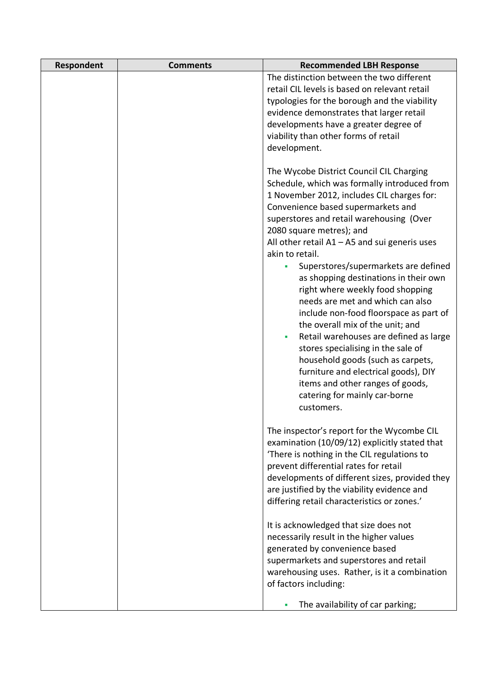| Respondent | <b>Comments</b> | <b>Recommended LBH Response</b>                                                                                                                                                                                                                                                                                                                                                                                                                                                                                                                                                                                                                                                                                                                                                                                        |
|------------|-----------------|------------------------------------------------------------------------------------------------------------------------------------------------------------------------------------------------------------------------------------------------------------------------------------------------------------------------------------------------------------------------------------------------------------------------------------------------------------------------------------------------------------------------------------------------------------------------------------------------------------------------------------------------------------------------------------------------------------------------------------------------------------------------------------------------------------------------|
|            |                 | The distinction between the two different<br>retail CIL levels is based on relevant retail<br>typologies for the borough and the viability<br>evidence demonstrates that larger retail<br>developments have a greater degree of<br>viability than other forms of retail<br>development.                                                                                                                                                                                                                                                                                                                                                                                                                                                                                                                                |
|            |                 | The Wycobe District Council CIL Charging<br>Schedule, which was formally introduced from<br>1 November 2012, includes CIL charges for:<br>Convenience based supermarkets and<br>superstores and retail warehousing (Over<br>2080 square metres); and<br>All other retail $A1 - A5$ and sui generis uses<br>akin to retail.<br>Superstores/supermarkets are defined<br>as shopping destinations in their own<br>right where weekly food shopping<br>needs are met and which can also<br>include non-food floorspace as part of<br>the overall mix of the unit; and<br>Retail warehouses are defined as large<br>٠<br>stores specialising in the sale of<br>household goods (such as carpets,<br>furniture and electrical goods), DIY<br>items and other ranges of goods,<br>catering for mainly car-borne<br>customers. |
|            |                 | The inspector's report for the Wycombe CIL<br>examination (10/09/12) explicitly stated that<br>'There is nothing in the CIL regulations to<br>prevent differential rates for retail<br>developments of different sizes, provided they<br>are justified by the viability evidence and<br>differing retail characteristics or zones.'                                                                                                                                                                                                                                                                                                                                                                                                                                                                                    |
|            |                 | It is acknowledged that size does not<br>necessarily result in the higher values<br>generated by convenience based<br>supermarkets and superstores and retail<br>warehousing uses. Rather, is it a combination<br>of factors including:<br>The availability of car parking;                                                                                                                                                                                                                                                                                                                                                                                                                                                                                                                                            |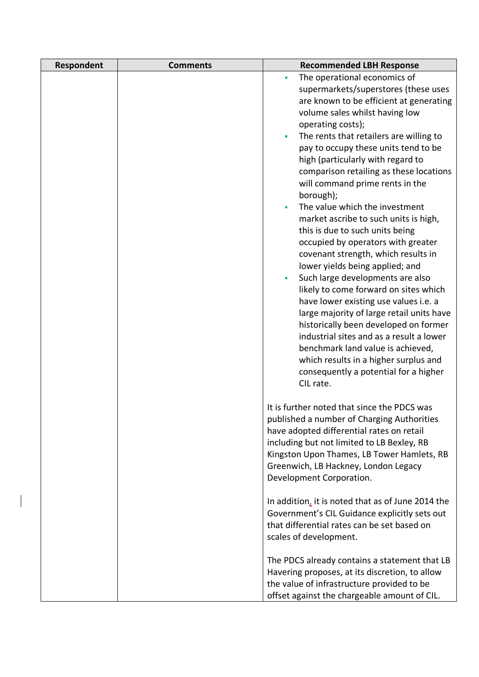| Respondent | <b>Comments</b> | <b>Recommended LBH Response</b>                                                                                                                                                                                                                                                                                                                                                                                                                                                                                                                                                                                                                                                                                                                                                                                                                                                                                                                                                                                                |
|------------|-----------------|--------------------------------------------------------------------------------------------------------------------------------------------------------------------------------------------------------------------------------------------------------------------------------------------------------------------------------------------------------------------------------------------------------------------------------------------------------------------------------------------------------------------------------------------------------------------------------------------------------------------------------------------------------------------------------------------------------------------------------------------------------------------------------------------------------------------------------------------------------------------------------------------------------------------------------------------------------------------------------------------------------------------------------|
|            |                 | The operational economics of<br>×,<br>supermarkets/superstores (these uses<br>are known to be efficient at generating<br>volume sales whilst having low<br>operating costs);<br>The rents that retailers are willing to<br>pay to occupy these units tend to be<br>high (particularly with regard to<br>comparison retailing as these locations<br>will command prime rents in the<br>borough);<br>The value which the investment<br>market ascribe to such units is high,<br>this is due to such units being<br>occupied by operators with greater<br>covenant strength, which results in<br>lower yields being applied; and<br>Such large developments are also<br>٠<br>likely to come forward on sites which<br>have lower existing use values i.e. a<br>large majority of large retail units have<br>historically been developed on former<br>industrial sites and as a result a lower<br>benchmark land value is achieved,<br>which results in a higher surplus and<br>consequently a potential for a higher<br>CIL rate. |
|            |                 | It is further noted that since the PDCS was<br>published a number of Charging Authorities<br>have adopted differential rates on retail<br>including but not limited to LB Bexley, RB<br>Kingston Upon Thames, LB Tower Hamlets, RB<br>Greenwich, LB Hackney, London Legacy<br>Development Corporation.                                                                                                                                                                                                                                                                                                                                                                                                                                                                                                                                                                                                                                                                                                                         |
|            |                 | In addition, it is noted that as of June 2014 the<br>Government's CIL Guidance explicitly sets out<br>that differential rates can be set based on<br>scales of development.                                                                                                                                                                                                                                                                                                                                                                                                                                                                                                                                                                                                                                                                                                                                                                                                                                                    |
|            |                 | The PDCS already contains a statement that LB<br>Havering proposes, at its discretion, to allow<br>the value of infrastructure provided to be<br>offset against the chargeable amount of CIL.                                                                                                                                                                                                                                                                                                                                                                                                                                                                                                                                                                                                                                                                                                                                                                                                                                  |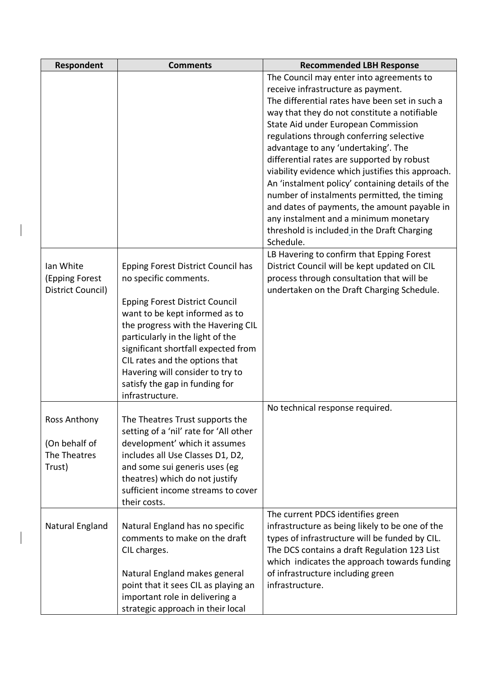| Respondent        | <b>Comments</b>                        | <b>Recommended LBH Response</b>                   |
|-------------------|----------------------------------------|---------------------------------------------------|
|                   |                                        | The Council may enter into agreements to          |
|                   |                                        | receive infrastructure as payment.                |
|                   |                                        | The differential rates have been set in such a    |
|                   |                                        | way that they do not constitute a notifiable      |
|                   |                                        | State Aid under European Commission               |
|                   |                                        | regulations through conferring selective          |
|                   |                                        | advantage to any 'undertaking'. The               |
|                   |                                        | differential rates are supported by robust        |
|                   |                                        | viability evidence which justifies this approach. |
|                   |                                        | An 'instalment policy' containing details of the  |
|                   |                                        | number of instalments permitted, the timing       |
|                   |                                        | and dates of payments, the amount payable in      |
|                   |                                        | any instalment and a minimum monetary             |
|                   |                                        | threshold is included in the Draft Charging       |
|                   |                                        | Schedule.                                         |
|                   |                                        | LB Havering to confirm that Epping Forest         |
| Ian White         | Epping Forest District Council has     | District Council will be kept updated on CIL      |
| (Epping Forest    | no specific comments.                  | process through consultation that will be         |
| District Council) |                                        | undertaken on the Draft Charging Schedule.        |
|                   | <b>Epping Forest District Council</b>  |                                                   |
|                   | want to be kept informed as to         |                                                   |
|                   | the progress with the Havering CIL     |                                                   |
|                   | particularly in the light of the       |                                                   |
|                   | significant shortfall expected from    |                                                   |
|                   | CIL rates and the options that         |                                                   |
|                   | Havering will consider to try to       |                                                   |
|                   | satisfy the gap in funding for         |                                                   |
|                   | infrastructure.                        |                                                   |
|                   |                                        | No technical response required.                   |
| Ross Anthony      | The Theatres Trust supports the        |                                                   |
|                   | setting of a 'nil' rate for 'All other |                                                   |
| (On behalf of     | development' which it assumes          |                                                   |
| The Theatres      | includes all Use Classes D1, D2,       |                                                   |
| Trust)            | and some sui generis uses (eg          |                                                   |
|                   | theatres) which do not justify         |                                                   |
|                   | sufficient income streams to cover     |                                                   |
|                   | their costs.                           |                                                   |
|                   |                                        | The current PDCS identifies green                 |
| Natural England   | Natural England has no specific        | infrastructure as being likely to be one of the   |
|                   | comments to make on the draft          | types of infrastructure will be funded by CIL.    |
|                   | CIL charges.                           | The DCS contains a draft Regulation 123 List      |
|                   |                                        | which indicates the approach towards funding      |
|                   | Natural England makes general          | of infrastructure including green                 |
|                   | point that it sees CIL as playing an   | infrastructure.                                   |
|                   | important role in delivering a         |                                                   |
|                   | strategic approach in their local      |                                                   |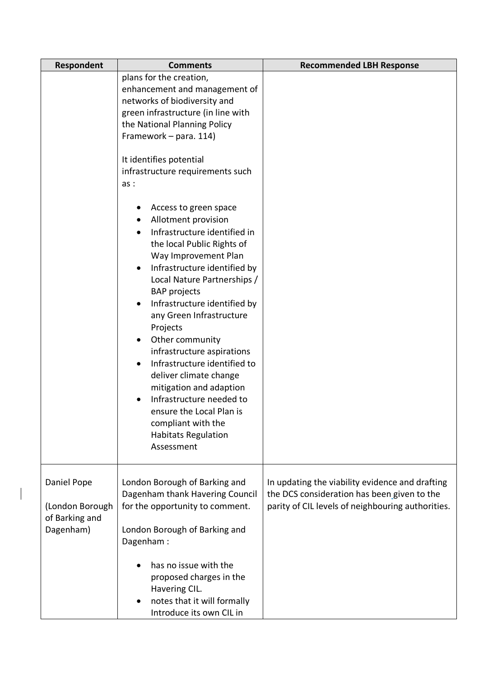| Respondent                                                    | <b>Comments</b>                                                                                                                                                                                                                                                                                                                                                                                                                                                                                                                                                                                                      | <b>Recommended LBH Response</b>                                                                                                                     |
|---------------------------------------------------------------|----------------------------------------------------------------------------------------------------------------------------------------------------------------------------------------------------------------------------------------------------------------------------------------------------------------------------------------------------------------------------------------------------------------------------------------------------------------------------------------------------------------------------------------------------------------------------------------------------------------------|-----------------------------------------------------------------------------------------------------------------------------------------------------|
|                                                               | plans for the creation,<br>enhancement and management of<br>networks of biodiversity and<br>green infrastructure (in line with<br>the National Planning Policy<br>Framework – para. 114)<br>It identifies potential<br>infrastructure requirements such<br>as:                                                                                                                                                                                                                                                                                                                                                       |                                                                                                                                                     |
|                                                               | Access to green space<br>Allotment provision<br>$\bullet$<br>Infrastructure identified in<br>the local Public Rights of<br>Way Improvement Plan<br>Infrastructure identified by<br>$\bullet$<br>Local Nature Partnerships /<br><b>BAP</b> projects<br>Infrastructure identified by<br>any Green Infrastructure<br>Projects<br>Other community<br>$\bullet$<br>infrastructure aspirations<br>Infrastructure identified to<br>$\bullet$<br>deliver climate change<br>mitigation and adaption<br>Infrastructure needed to<br>ensure the Local Plan is<br>compliant with the<br><b>Habitats Regulation</b><br>Assessment |                                                                                                                                                     |
| Daniel Pope<br>(London Borough<br>of Barking and<br>Dagenham) | London Borough of Barking and<br>Dagenham thank Havering Council<br>for the opportunity to comment.<br>London Borough of Barking and<br>Dagenham:                                                                                                                                                                                                                                                                                                                                                                                                                                                                    | In updating the viability evidence and drafting<br>the DCS consideration has been given to the<br>parity of CIL levels of neighbouring authorities. |
|                                                               | has no issue with the<br>proposed charges in the<br>Havering CIL.<br>notes that it will formally<br>$\bullet$<br>Introduce its own CIL in                                                                                                                                                                                                                                                                                                                                                                                                                                                                            |                                                                                                                                                     |

 $\overline{\phantom{a}}$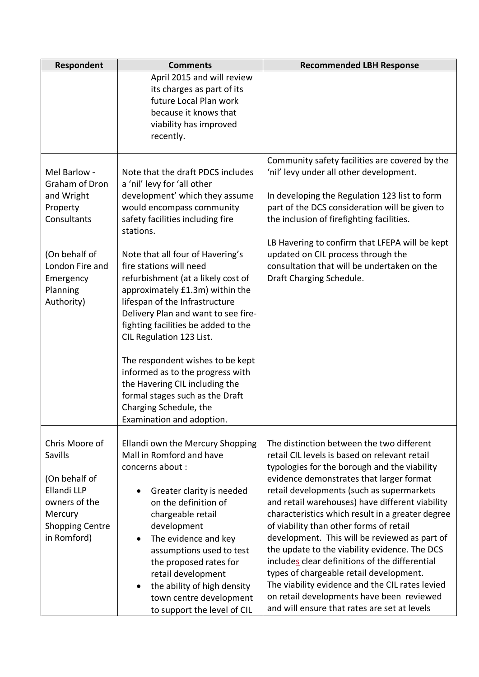| Respondent                                                                                                                     | <b>Comments</b>                                                                                                                                                                                                                                                                                                                                                                                                                                                      | <b>Recommended LBH Response</b>                                                                                                                                                                                                                                                                                                                                                                                                                                                                                                                                                                                                                                                                                                      |
|--------------------------------------------------------------------------------------------------------------------------------|----------------------------------------------------------------------------------------------------------------------------------------------------------------------------------------------------------------------------------------------------------------------------------------------------------------------------------------------------------------------------------------------------------------------------------------------------------------------|--------------------------------------------------------------------------------------------------------------------------------------------------------------------------------------------------------------------------------------------------------------------------------------------------------------------------------------------------------------------------------------------------------------------------------------------------------------------------------------------------------------------------------------------------------------------------------------------------------------------------------------------------------------------------------------------------------------------------------------|
|                                                                                                                                | April 2015 and will review                                                                                                                                                                                                                                                                                                                                                                                                                                           |                                                                                                                                                                                                                                                                                                                                                                                                                                                                                                                                                                                                                                                                                                                                      |
|                                                                                                                                | its charges as part of its                                                                                                                                                                                                                                                                                                                                                                                                                                           |                                                                                                                                                                                                                                                                                                                                                                                                                                                                                                                                                                                                                                                                                                                                      |
|                                                                                                                                | future Local Plan work                                                                                                                                                                                                                                                                                                                                                                                                                                               |                                                                                                                                                                                                                                                                                                                                                                                                                                                                                                                                                                                                                                                                                                                                      |
|                                                                                                                                | because it knows that                                                                                                                                                                                                                                                                                                                                                                                                                                                |                                                                                                                                                                                                                                                                                                                                                                                                                                                                                                                                                                                                                                                                                                                                      |
|                                                                                                                                | viability has improved                                                                                                                                                                                                                                                                                                                                                                                                                                               |                                                                                                                                                                                                                                                                                                                                                                                                                                                                                                                                                                                                                                                                                                                                      |
|                                                                                                                                | recently.                                                                                                                                                                                                                                                                                                                                                                                                                                                            |                                                                                                                                                                                                                                                                                                                                                                                                                                                                                                                                                                                                                                                                                                                                      |
|                                                                                                                                |                                                                                                                                                                                                                                                                                                                                                                                                                                                                      |                                                                                                                                                                                                                                                                                                                                                                                                                                                                                                                                                                                                                                                                                                                                      |
| Mel Barlow -<br>Graham of Dron<br>and Wright                                                                                   | Note that the draft PDCS includes<br>a 'nil' levy for 'all other<br>development' which they assume                                                                                                                                                                                                                                                                                                                                                                   | Community safety facilities are covered by the<br>'nil' levy under all other development.<br>In developing the Regulation 123 list to form                                                                                                                                                                                                                                                                                                                                                                                                                                                                                                                                                                                           |
| Property                                                                                                                       | would encompass community                                                                                                                                                                                                                                                                                                                                                                                                                                            | part of the DCS consideration will be given to                                                                                                                                                                                                                                                                                                                                                                                                                                                                                                                                                                                                                                                                                       |
| Consultants                                                                                                                    | safety facilities including fire                                                                                                                                                                                                                                                                                                                                                                                                                                     | the inclusion of firefighting facilities.                                                                                                                                                                                                                                                                                                                                                                                                                                                                                                                                                                                                                                                                                            |
| (On behalf of<br>London Fire and<br>Emergency<br>Planning<br>Authority)                                                        | stations.<br>Note that all four of Havering's<br>fire stations will need<br>refurbishment (at a likely cost of<br>approximately £1.3m) within the<br>lifespan of the Infrastructure<br>Delivery Plan and want to see fire-<br>fighting facilities be added to the<br>CIL Regulation 123 List.<br>The respondent wishes to be kept<br>informed as to the progress with<br>the Havering CIL including the<br>formal stages such as the Draft<br>Charging Schedule, the | LB Havering to confirm that LFEPA will be kept<br>updated on CIL process through the<br>consultation that will be undertaken on the<br>Draft Charging Schedule.                                                                                                                                                                                                                                                                                                                                                                                                                                                                                                                                                                      |
|                                                                                                                                | Examination and adoption.                                                                                                                                                                                                                                                                                                                                                                                                                                            |                                                                                                                                                                                                                                                                                                                                                                                                                                                                                                                                                                                                                                                                                                                                      |
| Chris Moore of<br>Savills<br>(On behalf of<br>Ellandi LLP<br>owners of the<br>Mercury<br><b>Shopping Centre</b><br>in Romford) | Ellandi own the Mercury Shopping<br>Mall in Romford and have<br>concerns about :<br>Greater clarity is needed<br>on the definition of<br>chargeable retail<br>development<br>The evidence and key<br>٠<br>assumptions used to test<br>the proposed rates for<br>retail development<br>the ability of high density<br>$\bullet$<br>town centre development<br>to support the level of CIL                                                                             | The distinction between the two different<br>retail CIL levels is based on relevant retail<br>typologies for the borough and the viability<br>evidence demonstrates that larger format<br>retail developments (such as supermarkets<br>and retail warehouses) have different viability<br>characteristics which result in a greater degree<br>of viability than other forms of retail<br>development. This will be reviewed as part of<br>the update to the viability evidence. The DCS<br>includes clear definitions of the differential<br>types of chargeable retail development.<br>The viability evidence and the CIL rates levied<br>on retail developments have been_reviewed<br>and will ensure that rates are set at levels |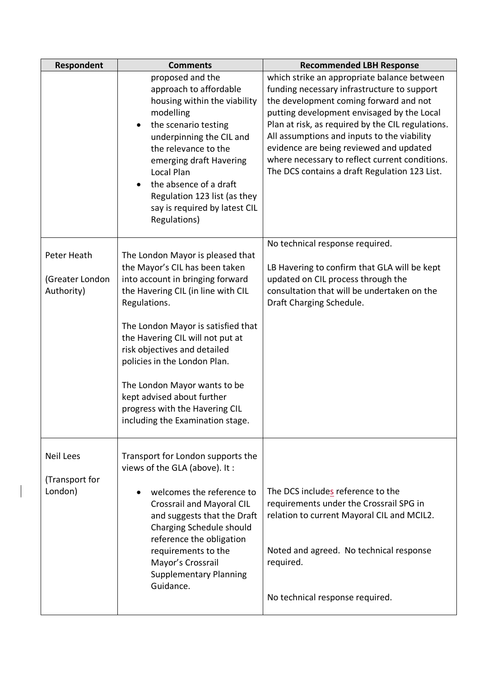| Respondent                                    | <b>Comments</b>                                                                                                                                                                                                                                                                                                                                   | <b>Recommended LBH Response</b>                                                                                                                                                                                                                                                                                                                                                                                                      |
|-----------------------------------------------|---------------------------------------------------------------------------------------------------------------------------------------------------------------------------------------------------------------------------------------------------------------------------------------------------------------------------------------------------|--------------------------------------------------------------------------------------------------------------------------------------------------------------------------------------------------------------------------------------------------------------------------------------------------------------------------------------------------------------------------------------------------------------------------------------|
|                                               | proposed and the<br>approach to affordable<br>housing within the viability<br>modelling<br>the scenario testing<br>$\bullet$<br>underpinning the CIL and<br>the relevance to the<br>emerging draft Havering<br>Local Plan<br>the absence of a draft<br>$\bullet$<br>Regulation 123 list (as they<br>say is required by latest CIL<br>Regulations) | which strike an appropriate balance between<br>funding necessary infrastructure to support<br>the development coming forward and not<br>putting development envisaged by the Local<br>Plan at risk, as required by the CIL regulations.<br>All assumptions and inputs to the viability<br>evidence are being reviewed and updated<br>where necessary to reflect current conditions.<br>The DCS contains a draft Regulation 123 List. |
| Peter Heath<br>(Greater London<br>Authority)  | The London Mayor is pleased that<br>the Mayor's CIL has been taken<br>into account in bringing forward<br>the Havering CIL (in line with CIL<br>Regulations.<br>The London Mayor is satisfied that<br>the Havering CIL will not put at                                                                                                            | No technical response required.<br>LB Havering to confirm that GLA will be kept<br>updated on CIL process through the<br>consultation that will be undertaken on the<br>Draft Charging Schedule.                                                                                                                                                                                                                                     |
|                                               | risk objectives and detailed<br>policies in the London Plan.<br>The London Mayor wants to be<br>kept advised about further<br>progress with the Havering CIL<br>including the Examination stage.                                                                                                                                                  |                                                                                                                                                                                                                                                                                                                                                                                                                                      |
| <b>Neil Lees</b><br>(Transport for<br>London) | Transport for London supports the<br>views of the GLA (above). It:<br>welcomes the reference to<br><b>Crossrail and Mayoral CIL</b><br>and suggests that the Draft<br>Charging Schedule should<br>reference the obligation<br>requirements to the<br>Mayor's Crossrail<br><b>Supplementary Planning</b><br>Guidance.                              | The DCS includes reference to the<br>requirements under the Crossrail SPG in<br>relation to current Mayoral CIL and MCIL2.<br>Noted and agreed. No technical response<br>required.<br>No technical response required.                                                                                                                                                                                                                |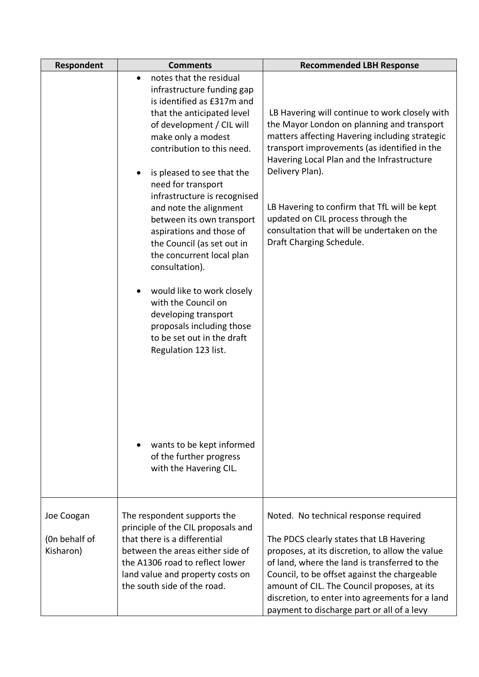| Respondent                 | <b>Comments</b>                                                                                                                                                                                                 | <b>Recommended LBH Response</b>                                                                                                                                                                                                                                                                                                              |
|----------------------------|-----------------------------------------------------------------------------------------------------------------------------------------------------------------------------------------------------------------|----------------------------------------------------------------------------------------------------------------------------------------------------------------------------------------------------------------------------------------------------------------------------------------------------------------------------------------------|
|                            | notes that the residual<br>$\bullet$<br>infrastructure funding gap<br>is identified as £317m and<br>that the anticipated level<br>of development / CIL will<br>make only a modest<br>contribution to this need. | LB Havering will continue to work closely with<br>the Mayor London on planning and transport<br>matters affecting Havering including strategic<br>transport improvements (as identified in the                                                                                                                                               |
|                            | is pleased to see that the<br>$\bullet$<br>need for transport<br>infrastructure is recognised<br>and note the alignment                                                                                         | Havering Local Plan and the Infrastructure<br>Delivery Plan).<br>LB Havering to confirm that TfL will be kept<br>updated on CIL process through the                                                                                                                                                                                          |
|                            | between its own transport<br>aspirations and those of<br>the Council (as set out in<br>the concurrent local plan<br>consultation).                                                                              | consultation that will be undertaken on the<br>Draft Charging Schedule.                                                                                                                                                                                                                                                                      |
|                            | would like to work closely<br>with the Council on<br>developing transport<br>proposals including those<br>to be set out in the draft<br>Regulation 123 list.                                                    |                                                                                                                                                                                                                                                                                                                                              |
|                            | wants to be kept informed<br>of the further progress<br>with the Havering CIL.                                                                                                                                  |                                                                                                                                                                                                                                                                                                                                              |
| Joe Coogan                 | The respondent supports the<br>principle of the CIL proposals and                                                                                                                                               | Noted. No technical response required                                                                                                                                                                                                                                                                                                        |
| (On behalf of<br>Kisharon) | that there is a differential<br>between the areas either side of<br>the A1306 road to reflect lower<br>land value and property costs on<br>the south side of the road.                                          | The PDCS clearly states that LB Havering<br>proposes, at its discretion, to allow the value<br>of land, where the land is transferred to the<br>Council, to be offset against the chargeable<br>amount of CIL. The Council proposes, at its<br>discretion, to enter into agreements for a land<br>payment to discharge part or all of a levy |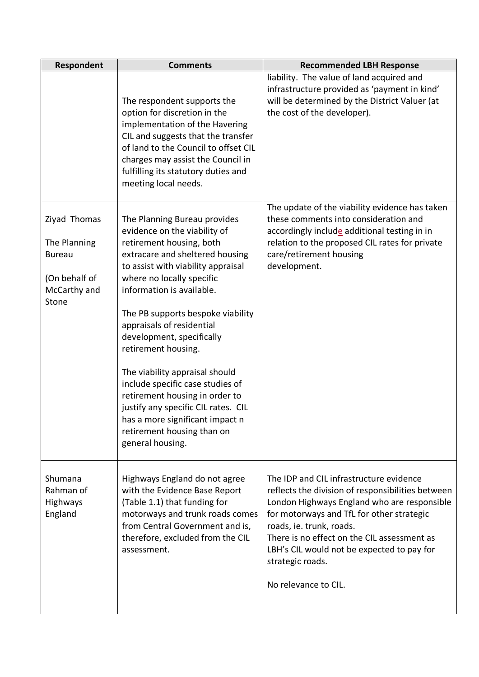| Respondent                                                                              | <b>Comments</b>                                                                                                                                                                                                                                                                                                                                                                                                                                                                                                                                                                       | <b>Recommended LBH Response</b>                                                                                                                                                                                                                                                                                                                               |
|-----------------------------------------------------------------------------------------|---------------------------------------------------------------------------------------------------------------------------------------------------------------------------------------------------------------------------------------------------------------------------------------------------------------------------------------------------------------------------------------------------------------------------------------------------------------------------------------------------------------------------------------------------------------------------------------|---------------------------------------------------------------------------------------------------------------------------------------------------------------------------------------------------------------------------------------------------------------------------------------------------------------------------------------------------------------|
|                                                                                         | The respondent supports the<br>option for discretion in the<br>implementation of the Havering<br>CIL and suggests that the transfer<br>of land to the Council to offset CIL<br>charges may assist the Council in<br>fulfilling its statutory duties and<br>meeting local needs.                                                                                                                                                                                                                                                                                                       | liability. The value of land acquired and<br>infrastructure provided as 'payment in kind'<br>will be determined by the District Valuer (at<br>the cost of the developer).                                                                                                                                                                                     |
| Ziyad Thomas<br>The Planning<br><b>Bureau</b><br>(On behalf of<br>McCarthy and<br>Stone | The Planning Bureau provides<br>evidence on the viability of<br>retirement housing, both<br>extracare and sheltered housing<br>to assist with viability appraisal<br>where no locally specific<br>information is available.<br>The PB supports bespoke viability<br>appraisals of residential<br>development, specifically<br>retirement housing.<br>The viability appraisal should<br>include specific case studies of<br>retirement housing in order to<br>justify any specific CIL rates. CIL<br>has a more significant impact n<br>retirement housing than on<br>general housing. | The update of the viability evidence has taken<br>these comments into consideration and<br>accordingly include additional testing in in<br>relation to the proposed CIL rates for private<br>care/retirement housing<br>development.                                                                                                                          |
| Shumana<br>Rahman of<br><b>Highways</b><br>England                                      | Highways England do not agree<br>with the Evidence Base Report<br>(Table 1.1) that funding for<br>motorways and trunk roads comes<br>from Central Government and is,<br>therefore, excluded from the CIL<br>assessment.                                                                                                                                                                                                                                                                                                                                                               | The IDP and CIL infrastructure evidence<br>reflects the division of responsibilities between<br>London Highways England who are responsible<br>for motorways and TfL for other strategic<br>roads, ie. trunk, roads.<br>There is no effect on the CIL assessment as<br>LBH's CIL would not be expected to pay for<br>strategic roads.<br>No relevance to CIL. |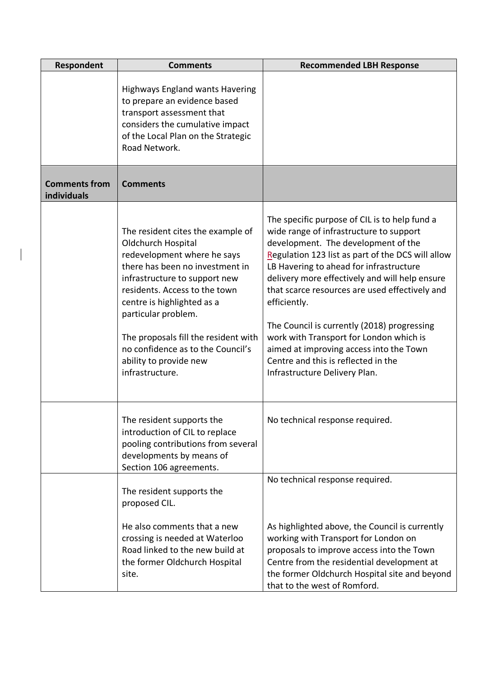| Respondent                          | <b>Comments</b>                                                                                                                                                                                                                                                                                                                                                            | <b>Recommended LBH Response</b>                                                                                                                                                                                                                                                                                                                                                                                                                                                                                                                                  |
|-------------------------------------|----------------------------------------------------------------------------------------------------------------------------------------------------------------------------------------------------------------------------------------------------------------------------------------------------------------------------------------------------------------------------|------------------------------------------------------------------------------------------------------------------------------------------------------------------------------------------------------------------------------------------------------------------------------------------------------------------------------------------------------------------------------------------------------------------------------------------------------------------------------------------------------------------------------------------------------------------|
|                                     | Highways England wants Havering<br>to prepare an evidence based<br>transport assessment that<br>considers the cumulative impact<br>of the Local Plan on the Strategic<br>Road Network.                                                                                                                                                                                     |                                                                                                                                                                                                                                                                                                                                                                                                                                                                                                                                                                  |
| <b>Comments from</b><br>individuals | <b>Comments</b>                                                                                                                                                                                                                                                                                                                                                            |                                                                                                                                                                                                                                                                                                                                                                                                                                                                                                                                                                  |
|                                     | The resident cites the example of<br>Oldchurch Hospital<br>redevelopment where he says<br>there has been no investment in<br>infrastructure to support new<br>residents. Access to the town<br>centre is highlighted as a<br>particular problem.<br>The proposals fill the resident with<br>no confidence as to the Council's<br>ability to provide new<br>infrastructure. | The specific purpose of CIL is to help fund a<br>wide range of infrastructure to support<br>development. The development of the<br>Regulation 123 list as part of the DCS will allow<br>LB Havering to ahead for infrastructure<br>delivery more effectively and will help ensure<br>that scarce resources are used effectively and<br>efficiently.<br>The Council is currently (2018) progressing<br>work with Transport for London which is<br>aimed at improving access into the Town<br>Centre and this is reflected in the<br>Infrastructure Delivery Plan. |
|                                     | The resident supports the<br>introduction of CIL to replace<br>pooling contributions from several<br>developments by means of<br>Section 106 agreements.                                                                                                                                                                                                                   | No technical response required.                                                                                                                                                                                                                                                                                                                                                                                                                                                                                                                                  |
|                                     | The resident supports the<br>proposed CIL.                                                                                                                                                                                                                                                                                                                                 | No technical response required.                                                                                                                                                                                                                                                                                                                                                                                                                                                                                                                                  |
|                                     | He also comments that a new<br>crossing is needed at Waterloo<br>Road linked to the new build at<br>the former Oldchurch Hospital<br>site.                                                                                                                                                                                                                                 | As highlighted above, the Council is currently<br>working with Transport for London on<br>proposals to improve access into the Town<br>Centre from the residential development at<br>the former Oldchurch Hospital site and beyond<br>that to the west of Romford.                                                                                                                                                                                                                                                                                               |